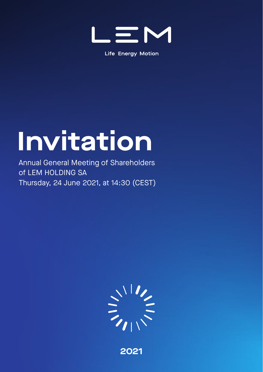

**Life Energy Motion** 

# **Invitation**

Annual General Meeting of Shareholders of LEM HOLDING SA Thursday, 24 June 2021, at 14:30 (CEST)



**2021**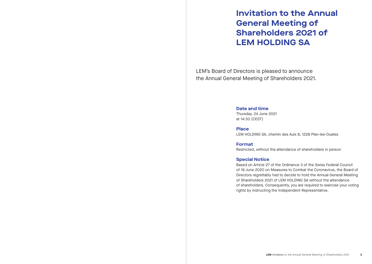## **Invitation to the Annual General Meeting of Shareholders 2021 of LEM HOLDING SA**

LEM's Board of Directors is pleased to announce the Annual General Meeting of Shareholders 2021.

#### **Date and time**

Thursday, 24 June 2021 at 14:30 (CEST)

#### **Place**

LEM HOLDING SA, chemin des Aulx 8, 1228 Plan-les-Ouates

**Format** Restricted, without the attendance of shareholders in person

#### **Special Notice**

Based on Article 27 of the Ordinance 3 of the Swiss Federal Council of 19 June 2020 on Measures to Combat the Coronavirus, the Board of Directors regrettably had to decide to hold the Annual General Meeting of Shareholders 2021 of LEM HOLDING SA without the attendance of shareholders. Consequently, you are required to exercise your voting rights by instructing the Independent Representative.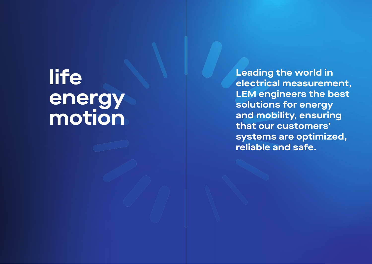# **life energy motion**

**Leading the world in electrical measurement, LEM engineers the best solutions for energy and mobility, ensuring that our customers' systems are optimized, reliable and safe.**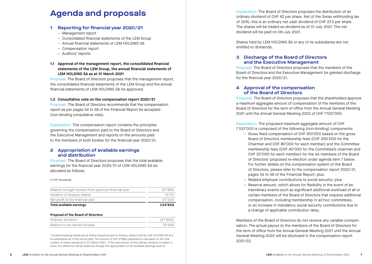### **1 Reporting for financial year 2020/21**

- 
- Management report Consolidated financial statements of the LEM Group
- Annual financial statements of LEM HOLDING SA
- Compensation report
- Auditors' reports

#### **1.1 Approval of the management report, the consolidated financial statements of the LEM Group, the annual financial statements of LEM HOLDING SA as at 31 March 2021**

Proposal: The Board of Directors proposes that the management report, the consolidated financial statements of the LEM Group and the annual financial statements of LEM HOLDING SA be approved.

#### **1.2 Consultative vote on the compensation report 2020/21**

Proposal: The Board of Directors recommends that the compensation report as per pages 54 to 59 of the Financial Report be accepted (non-binding consultative vote).

Explanation: The compensation report contains the principles governing the compensation paid to the Board of Directors and the Executive Management and reports on the amounts paid to the members of both bodies for the financial year 2020/21.

#### **2 Appropriation of available earnings and distribution**

Proposal: The Board of Directors proposes that the total available earnings for the financial year 2020/21 of LEM HOLDING SA be allocated as follows:

#### in CHF thousands

| Net profit of the financial year<br>Total available earnings | 57'520<br>124'829 |
|--------------------------------------------------------------|-------------------|
|                                                              |                   |
| Variation of treasury shares                                 | (575)             |
| Balance brought forward from previous financial year         | 67'884            |

#### **Proposal of the Board of Directors**

| Ordinary dividend <sup>1</sup> | (47'880) |
|--------------------------------|----------|
| Balance to be carried forward  | 76'949   |

1 Dividend-bearing shares are all shares issued except for treasury shares held by LEM HOLDING SA and its subsidiaries as of the record date. The amount of CHF 47'880 presented is calculated on the total number of shares issued as of 31 March 2021. If the total amount of the ordinary dividend is higher or lower, the difference will be balanced through the appropriation of the available earnings reserve.

**Agenda and proposals** Explanation: The Board of Directors proposes the distribution of an ordinary dividend of CHF 42 per share. Net of the Swiss withholding tax of 35%, this is an ordinary net cash dividend of CHF 27.3 per share. The shares will be traded ex-dividend as of 01 July 2021. The net dividend will be paid on 06 July 2021.

> Shares held by LEM HOLDING SA or any of its subsidiaries are not entitled to dividends.

#### **3 Discharge of the Board of Directors and the Executive Management**

Proposal: The Board of Directors proposes that the members of the Board of Directors and the Executive Management be granted discharge for the financial year 2020/21.

#### **4 Approval of the compensation of the Board of Directors**

Proposal: The Board of Directors proposes that the shareholders approve a maximum aggregate amount of compensation of the members of the Board of Directors for the term of office from the Annual General Meeting 2021 until the Annual General Meeting 2022 of CHF 1'100'000.

Explanation: The proposed maximum aggregate amount of CHF 1'100'000 is composed of the following (non-binding) components:

- Gross fixed compensation of CHF 910'000 based on the gross Board of Directors membership fees (CHF 250'000 for the Chairman and CHF 80'000 for each member) and the Committee membership fees (CHF 40'000 for the Committee's chairman and CHF 20'000 for each member) for the six members of the Board of Directors' proposed re-election under agenda item 7 below. For further details on the compensation system of the Board of Directors, please refer to the compensation report 2020/21, pages 54 to 59 of the Financial Report; plus
- Related employer contributions to social security; plus
- Reserve amount, which allows for flexibility in the event of extraordinary events such as significant additional workload of all or certain members of the Board of Directors that requires additional compensation, including membership in ad hoc committees, or an increase in mandatory social security contributions due to a change of applicable contribution rates.

Members of the Board of Directors do not receive any variable compen sation. The actual payout to the members of the Board of Directors for the term of office from the Annual General Meeting 2021 until the Annual General Meeting 2022 will be disclosed in the compensation report 2021/22.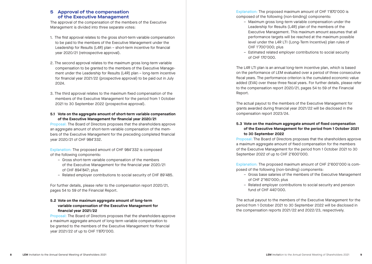### **5 Approval of the compensation of the Executive Management**

The approval of the compensation of the members of the Executive Management is divided into three separate votes:

- 1. The first approval relates to the gross short-term variable compensation to be paid to the members of the Executive Management under the Leadership for Results (L4R) plan – short-term incentive for financial year 2020/21 (retrospective approval).
- 2. The second approval relates to the maximum gross long-term variable compensation to be granted to the members of the Executive Management under the Leadership for Results (L4R) plan – long-term incentive for financial year 2021/22 (prospective approval) to be paid out in July 2024.
- 3. The third approval relates to the maximum fixed compensation of the members of the Executive Management for the period from 1 October 2021 to 30 September 2022 (prospective approval).

#### **5.1 Vote on the aggregate amount of short-term variable compensation of the Executive Management for financial year 2020/21**

Proposal: The Board of Directors proposes that the shareholders approve an aggregate amount of short-term variable compensation of the members of the Executive Management for the preceding completed financial year 2020/21 of CHF 984'332.

Explanation: The proposed amount of CHF 984'332 is composed of the following components:

- Gross short-term variable compensation of the members of the Executive Management for the financial year 2020/21 of CHF 894'847; plus
- Related employer contributions to social security of CHF 89'485.

For further details, please refer to the compensation report 2020/21, pages 54 to 59 of the Financial Report.

#### **5.2 Vote on the maximum aggregate amount of long-term variable compensation of the Executive Management for financial year 2021/22**

Proposal: The Board of Directors proposes that the shareholders approve a maximum aggregate amount of long-term variable compensation to be granted to the members of the Executive Management for financial year 2021/22 of up to CHF 1'870'000.

Explanation: The proposed maximum amount of CHF 1'870'000 is composed of the following (non-binding) components:

- Maximum gross long-term variable compensation under the Leadership for Results (L4R) plan of the members of the Executive Management. This maximum amount assumes that all performance targets will be reached at the maximum possible level under the L4R LTI (Long-Term Incentive) plan rules of CHF 1'700'000; plus
- Estimated related employer contributions to social security of CHF 170'000.

The L4R LTI plan is an annual long-term incentive plan, which is based on the performance of LEM evaluated over a period of three consecutive fiscal years. The performance criterion is the cumulated economic value added (EVA) over these three fiscal years. For further details, please refer to the compensation report 2020/21, pages 54 to 59 of the Financial Report.

The actual payout to the members of the Executive Management for grants awarded during financial year 2021/22 will be disclosed in the compensation report 2023/24.

### **5.3 Vote on the maximum aggregate amount of fixed compensation of the Executive Management for the period from 1 October 2021 to 30 September 2022**

Proposal: The Board of Directors proposes that the shareholders approve a maximum aggregate amount of fixed compensation for the members of the Executive Management for the period from 1 October 2021 to 30 September 2022 of up to CHF 2'600'000.

Explanation: The proposed maximum amount of CHF 2'600'000 is composed of the following (non-binding) components:

- Gross base salaries of the members of the Executive Management of CHF 2'160'000; plus
- Related employer contributions to social security and pension fund of CHF 440'000.

The actual payout to the members of the Executive Management for the period from 1 October 2021 to 30 September 2022 will be disclosed in the compensation reports 2021/22 and 2022/23, respectively.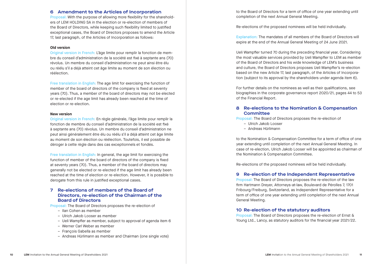#### **6 Amendment to the Articles of Incorporation**

Proposal: With the purpose of allowing more flexibility for the shareholders of LEM HOLDING SA in the election or re-election of members of the Board of Directors, while keeping such flexibility limited to justified exceptional cases, the Board of Directors proposes to amend the Article 17, last paragraph, of the Articles of Incorporation as follows:

#### **Old version**

Original version in French: L'âge limite pour remplir la fonction de membre du conseil d'administration de la société est fixé à septante ans (70) révolus. Un membre du conseil d'administration ne peut ainsi être élu ou réélu s'il a déjà atteint cet âge limite au moment de son élection ou réélection.

Free translation in English: The age limit for exercising the function of member of the board of directors of the company is fixed at seventy years (70). Thus, a member of the board of directors may not be elected or re-elected if the age limit has already been reached at the time of election or re-election.

#### **New version**

Original version in French: En règle générale, l'âge limite pour remplir la fonction de membre du conseil d'administration de la société est fixé à septante ans (70) révolus. Un membre du conseil d'administration ne peut ainsi généralement être élu ou réélu s'il a déjà atteint cet âge limite au moment de son élection ou réélection. Toutefois, il est possible de déroger à cette règle dans des cas exceptionnels et fondés.

Free translation in English: In general, the age limit for exercising the function of member of the board of directors of the company is fixed at seventy years (70). Thus, a member of the board of directors may generally not be elected or re-elected if the age limit has already been reached at the time of election or re-election. However, it is possible to derogate from this rule in justified exceptional cases.

#### **7 Re-elections of members of the Board of Directors, re-election of the Chairman of the Board of Directors**

Proposal: The Board of Directors proposes the re-election of

- Ilan Cohen as member
- Ulrich Jakob Looser as member
- Ueli Wampfler as member, subject to approval of agenda item 6
- Werner Carl Weber as member
- François Gabella as member
- Andreas Hürlimann as member and Chairman (one single vote)

to the Board of Directors for a term of office of one year extending until completion of the next Annual General Meeting.

Re-elections of the proposed nominees will be held individually.

Explanation: The mandates of all members of the Board of Directors will expire at the end of the Annual General Meeting of 24 June 2021.

Ueli Wampfler turned 70 during the preceding financial year. Considering the most valuable services provided by Ueli Wampfler to LEM as member of the Board of Directors and his wide knowledge of LEM's business and culture, the Board of Directors proposes Ueli Wampfler's re-election based on the new Article 17, last paragraph, of the Articles of Incorporation (subject to its approval by the shareholders under agenda item 6).

For further details on the nominees as well as their qualifications, see biographies in the corporate governance report 2020/21, pages 44 to 53 of the Financial Report.

#### **8 Re-elections to the Nomination & Compensation Committee**

Proposal: The Board of Directors proposes the re-election of

- Ulrich Jakob Looser
- Andreas Hürlimann

to the Nomination & Compensation Committee for a term of office of one year extending until completion of the next Annual General Meeting. In case of re-election, Ulrich Jakob Looser will be appointed as chairman of the Nomination & Compensation Committee.

Re-elections of the proposed nominees will be held individually.

#### **9 Re-election of the Independent Representative**

Proposal: The Board of Directors proposes the re-election of the law firm Hartmann Dreyer, Attorneys-at-law, Boulevard de Pérolles 7, 1701 Fribourg/Freiburg, Switzerland, as Independent Representative for a term of office of one year extending until completion of the next Annual General Meeting.

#### **10 Re-election of the statutory auditors**

Proposal: The Board of Directors proposes the re-election of Ernst & Young Ltd., Lancy, as statutory auditors for the financial year 2021/22.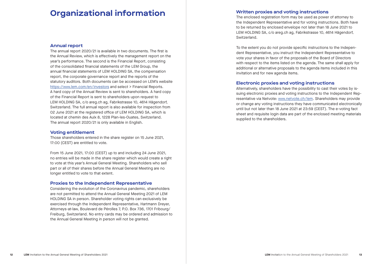## **Organizational information**

#### **Annual report**

The annual report 2020/21 is available in two documents. The first is the Annual Review, which is effectively the management report on the year's performance. The second is the Financial Report, consisting of the consolidated financial statements of the LEM Group, the annual financial statements of LEM HOLDING SA, the compensation report, the corporate governance report and the reports of the statutory auditors. Both documents can be accessed on LEM's website https://www.lem.com/en/investors and select > Financial Reports. A hard copy of the Annual Review is sent to shareholders. A hard copy of the Financial Report is sent to shareholders upon request to LEM HOLDING SA, c/o areg.ch ag, Fabrikstrasse 10, 4614 Hägendorf, Switzerland. The full annual report is also available for inspection from 02 June 2021 at the registered office of LEM HOLDING SA, which is located at chemin des Aulx 8, 1228 Plan-les-Ouates, Switzerland. The annual report 2020/21 is only available in English.

#### **Voting entitlement**

Those shareholders entered in the share register on 15 June 2021, 17:00 (CEST) are entitled to vote.

From 15 June 2021, 17:00 (CEST) up to and including 24 June 2021, no entries will be made in the share register which would create a right to vote at this year's Annual General Meeting. Shareholders who sell part or all of their shares before the Annual General Meeting are no longer entitled to vote to that extent.

#### **Proxies to the Independent Representative**

Considering the evolution of the Coronavirus pandemic, shareholders are not permitted to attend the Annual General Meeting 2021 of LEM HOLDING SA in person. Shareholder voting rights can exclusively be exercised through the Independent Representative, Hartmann Dreyer, Attorneys-at-law, Boulevard de Pérolles 7, P.O. Box 736, 1701 Fribourg/ Freiburg, Switzerland. No entry cards may be ordered and admission to the Annual General Meeting in person will not be granted.

The enclosed registration form may be used as power of attorney to the Independent Representative and for voting instructions. Both have to be returned by enclosed envelope not later than 18 June 2021 to LEM HOLDING SA, c/o areg.ch ag, Fabrikstrasse 10, 4614 Hägendorf, Switzerland.

To the extent you do not provide specific instructions to the Independent Representative, you instruct the Independent Representative to vote your shares in favor of the proposals of the Board of Directors with respect to the items listed on the agenda. The same shall apply for additional or alternative proposals to the agenda items included in this invitation and for new agenda items.

#### **Electronic proxies and voting instructions**

Alternatively, shareholders have the possibility to cast their votes by issuing electronic proxies and voting instructions to the Independent Representative via Netvote: www.netvote.ch/lem. Shareholders may provide or change any voting instructions they have communicated electronically until but not later than 18 June 2021 at 23:59 (CEST). The e-voting fact sheet and requisite login data are part of the enclosed meeting materials supplied to the shareholders.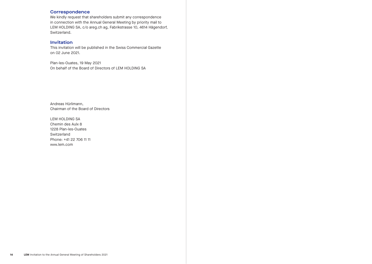#### **Correspondence**

We kindly request that shareholders submit any correspondence in connection with the Annual General Meeting by priority mail to LEM HOLDING SA, c/o areg.ch ag, Fabrikstrasse 10, 4614 Hägendorf, Switzerland.

### **Invitation**

This invitation will be published in the Swiss Commercial Gazette on 02 June 2021.

Plan-les-Ouates, 19 May 2021 On behalf of the Board of Directors of LEM HOLDING SA

Andreas Hürlimann, Chairman of the Board of Directors

LEM HOLDING SA Chemin des Aulx 8 1228 Plan-les-Ouates Switzerland Phone: +41 22 706 11 11 www.lem.com